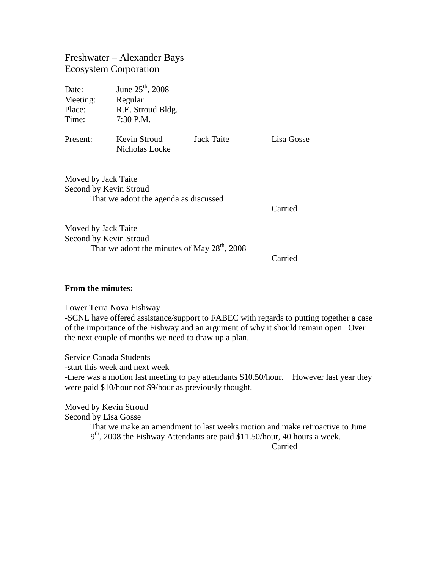## Freshwater – Alexander Bays Ecosystem Corporation

| Date:<br>Meeting:<br>Place:<br>Time:                                                   | June $25^{\text{th}}$ , 2008<br>Regular<br>R.E. Stroud Bldg.<br>$7:30$ P.M. |            |            |
|----------------------------------------------------------------------------------------|-----------------------------------------------------------------------------|------------|------------|
| Present:                                                                               | Kevin Stroud<br>Nicholas Locke                                              | Jack Taite | Lisa Gosse |
| Moved by Jack Taite<br>Second by Kevin Stroud<br>That we adopt the agenda as discussed |                                                                             |            | Carried    |

Moved by Jack Taite Second by Kevin Stroud That we adopt the minutes of May  $28<sup>th</sup>$ , 2008

Carried

## **From the minutes:**

Lower Terra Nova Fishway

-SCNL have offered assistance/support to FABEC with regards to putting together a case of the importance of the Fishway and an argument of why it should remain open. Over the next couple of months we need to draw up a plan.

Service Canada Students -start this week and next week -there was a motion last meeting to pay attendants \$10.50/hour. However last year they were paid \$10/hour not \$9/hour as previously thought.

Moved by Kevin Stroud Second by Lisa Gosse That we make an amendment to last weeks motion and make retroactive to June  $9<sup>th</sup>$ , 2008 the Fishway Attendants are paid \$11.50/hour, 40 hours a week. Carried